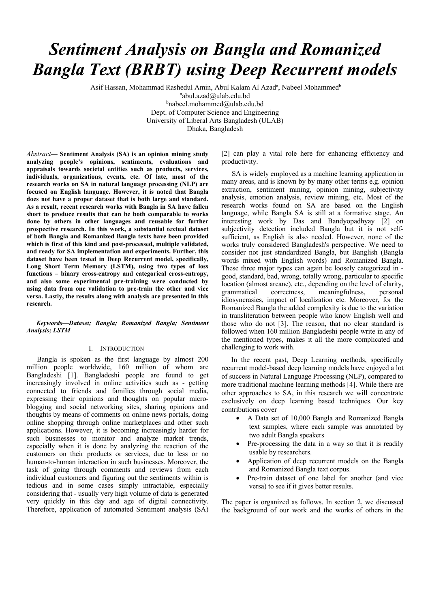# *Sentiment Analysis on Bangla and Romanized Bangla Text (BRBT) using Deep Recurrent models*

Asif Hassan, Mohammad Rashedul Amin, Abul Kalam Al Azad<sup>a</sup>, Nabeel Mohammed<sup>b</sup>

abul.azad@ulab.edu.bd

b nabeel.mohammed@ulab.edu.bd Dept. of Computer Science and Engineering University of Liberal Arts Bangladesh (ULAB) Dhaka, Bangladesh

*Abstract***— Sentiment Analysis (SA) is an opinion mining study analyzing people's opinions, sentiments, evaluations and appraisals towards societal entities such as products, services, individuals, organizations, events, etc. Of late, most of the research works on SA in natural language processing (NLP) are focused on English language. However, it is noted that Bangla does not have a proper dataset that is both large and standard. As a result, recent research works with Bangla in SA have fallen short to produce results that can be both comparable to works done by others in other languages and reusable for further prospective research. In this work, a substantial textual dataset of both Bangla and Romanized Bangla texts have been provided which is first of this kind and post-processed, multiple validated, and ready for SA implementation and experiments. Further, this dataset have been tested in Deep Recurrent model, specifically, Long Short Term Memory (LSTM), using two types of loss functions – binary cross-entropy and categorical cross-entropy, and also some experimental pre-training were conducted by using data from one validation to pre-train the other and vice versa. Lastly, the results along with analysis are presented in this research.** 

*Keywords—Dataset; Bangla; Romanized Bangla; Sentiment Analysis; LSTM* 

### I. INTRODUCTION

Bangla is spoken as the first language by almost 200 million people worldwide, 160 million of whom are Bangladeshi [1]. Bangladeshi people are found to get increasingly involved in online activities such as - getting connected to friends and families through social media, expressing their opinions and thoughts on popular microblogging and social networking sites, sharing opinions and thoughts by means of comments on online news portals, doing online shopping through online marketplaces and other such applications. However, it is becoming increasingly harder for such businesses to monitor and analyze market trends, especially when it is done by analyzing the reaction of the customers on their products or services, due to less or no human-to-human interaction in such businesses. Moreover, the task of going through comments and reviews from each individual customers and figuring out the sentiments within is tedious and in some cases simply intractable, especially considering that - usually very high volume of data is generated very quickly in this day and age of digital connectivity. Therefore, application of automated Sentiment analysis (SA)

[2] can play a vital role here for enhancing efficiency and productivity.

SA is widely employed as a machine learning application in many areas, and is known by by many other terms e.g. opinion extraction, sentiment mining, opinion mining, subjectivity analysis, emotion analysis, review mining, etc. Most of the research works found on SA are based on the English language, while Bangla SA is still at a formative stage. An interesting work by Das and Bandyopadhyay [2] on subjectivity detection included Bangla but it is not selfsufficient, as English is also needed. However, none of the works truly considered Bangladesh's perspective. We need to consider not just standardized Bangla, but Banglish (Bangla words mixed with English words) and Romanized Bangla. These three major types can again be loosely categorized in good, standard, bad, wrong, totally wrong, particular to specific location (almost arcane), etc., depending on the level of clarity, grammatical correctness, meaningfulness, personal idiosyncrasies, impact of localization etc. Moreover, for the Romanized Bangla the added complexity is due to the variation in transliteration between people who know English well and those who do not [3]. The reason, that no clear standard is followed when 160 million Bangladeshi people write in any of the mentioned types, makes it all the more complicated and challenging to work with.

In the recent past, Deep Learning methods, specifically recurrent model-based deep learning models have enjoyed a lot of success in Natural Language Processing (NLP), compared to more traditional machine learning methods [4]. While there are other approaches to SA, in this research we will concentrate exclusively on deep learning based techniques. Our key contributions cover –

- A Data set of 10,000 Bangla and Romanized Bangla text samples, where each sample was annotated by two adult Bangla speakers
- Pre-processing the data in a way so that it is readily usable by researchers.
- Application of deep recurrent models on the Bangla and Romanized Bangla text corpus.
- Pre-train dataset of one label for another (and vice versa) to see if it gives better results.

The paper is organized as follows. In section 2, we discussed the background of our work and the works of others in the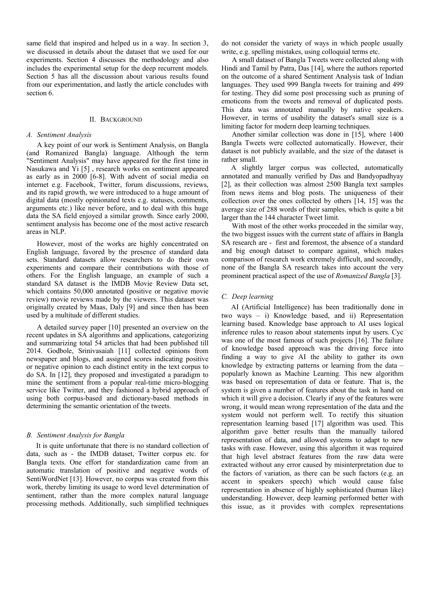same field that inspired and helped us in a way. In section 3, we discussed in details about the dataset that we used for our experiments. Section 4 discusses the methodology and also includes the experimental setup for the deep recurrent models. Section 5 has all the discussion about various results found from our experimentation, and lastly the article concludes with section 6.

### II. BACKGROUND

#### *A. Sentiment Analysis*

A key point of our work is Sentiment Analysis, on Bangla (and Romanized Bangla) language. Although the term "Sentiment Analysis" may have appeared for the first time in Nasukawa and Yi [5] , research works on sentiment appeared as early as in 2000 [6-8]. With advent of social media on internet e.g. Facebook, Twitter, forum discussions, reviews, and its rapid growth, we were introduced to a huge amount of digital data (mostly opinionated texts e.g. statuses, comments, arguments etc.) like never before, and to deal with this huge data the SA field enjoyed a similar growth. Since early 2000, sentiment analysis has become one of the most active research areas in NLP.

However, most of the works are highly concentrated on English language, favored by the presence of standard data sets. Standard datasets allow researchers to do their own experiments and compare their contributions with those of others. For the English language, an example of such a standard SA dataset is the IMDB Movie Review Data set, which contains 50,000 annotated (positive or negative movie review) movie reviews made by the viewers. This dataset was originally created by Maas, Daly [9] and since then has been used by a multitude of different studies.

A detailed survey paper [10] presented an overview on the recent updates in SA algorithms and applications, categorizing and summarizing total 54 articles that had been published till 2014. Godbole, Srinivasaiah [11] collected opinions from newspaper and blogs, and assigned scores indicating positive or negative opinion to each distinct entity in the text corpus to do SA. In [12], they proposed and investigated a paradigm to mine the sentiment from a popular real-time micro-blogging service like Twitter, and they fashioned a hybrid approach of using both corpus-based and dictionary-based methods in determining the semantic orientation of the tweets.

### *B. Sentiment Analysis for Bangla*

It is quite unfortunate that there is no standard collection of data, such as - the IMDB dataset, Twitter corpus etc. for Bangla texts. One effort for standardization came from an automatic translation of positive and negative words of SentiWordNet [13]. However, no corpus was created from this work, thereby limiting its usage to word level determination of sentiment, rather than the more complex natural language processing methods. Additionally, such simplified techniques

do not consider the variety of ways in which people usually write, e.g. spelling mistakes, using colloquial terms etc.

A small dataset of Bangla Tweets were collected along with Hindi and Tamil by Patra, Das [14], where the authors reported on the outcome of a shared Sentiment Analysis task of Indian languages. They used 999 Bangla tweets for training and 499 for testing. They did some post processing such as pruning of emoticons from the tweets and removal of duplicated posts. This data was annotated manually by native speakers. However, in terms of usability the dataset's small size is a limiting factor for modern deep learning techniques.

Another similar collection was done in [15], where 1400 Bangla Tweets were collected automatically. However, their dataset is not publicly available, and the size of the dataset is rather small.

A slightly larger corpus was collected, automatically annotated and manually verified by Das and Bandyopadhyay [2], as their collection was almost 2500 Bangla text samples from news items and blog posts. The uniqueness of their collection over the ones collected by others [14, 15] was the average size of 288 words of their samples, which is quite a bit larger than the 144 character Tweet limit.

With most of the other works proceeded in the similar way, the two biggest issues with the current state of affairs in Bangla SA research are - first and foremost, the absence of a standard and big enough dataset to compare against, which makes comparison of research work extremely difficult, and secondly, none of the Bangla SA research takes into account the very prominent practical aspect of the use of *Romanized Bangla* [3].

## *C. Deep learning*

AI (Artificial Intelligence) has been traditionally done in two ways – i) Knowledge based, and ii) Representation learning based. Knowledge base approach to AI uses logical inference rules to reason about statements input by users. Cyc was one of the most famous of such projects [16]. The failure of knowledge based approach was the driving force into finding a way to give AI the ability to gather its own knowledge by extracting patterns or learning from the data – popularly known as Machine Learning. This new algorithm was based on representation of data or feature. That is, the system is given a number of features about the task in hand on which it will give a decision. Clearly if any of the features were wrong, it would mean wrong representation of the data and the system would not perform well. To rectify this situation representation learning based [17] algorithm was used. This algorithm gave better results than the manually tailored representation of data, and allowed systems to adapt to new tasks with ease. However, using this algorithm it was required that high level abstract features from the raw data were extracted without any error caused by misinterpretation due to the factors of variation, as there can be such factors (e.g. an accent in speakers speech) which would cause false representation in absence of highly sophisticated (human like) understanding. However, deep learning performed better with this issue, as it provides with complex representations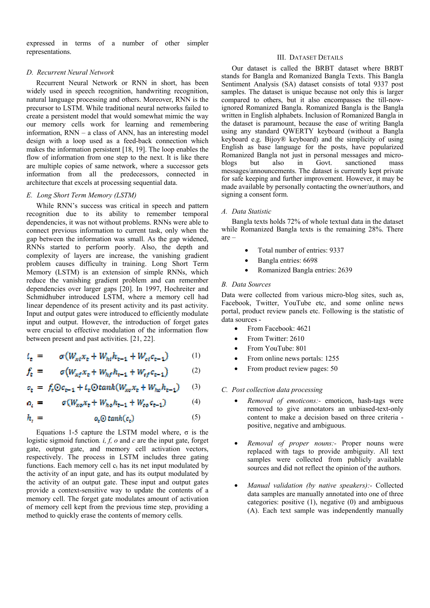expressed in terms of a number of other simpler representations.

## *D. Recurrent Neural Network*

Recurrent Neural Network or RNN in short, has been widely used in speech recognition, handwriting recognition, natural language processing and others. Moreover, RNN is the precursor to LSTM. While traditional neural networks failed to create a persistent model that would somewhat mimic the way our memory cells work for learning and remembering information, RNN – a class of ANN, has an interesting model design with a loop used as a feed-back connection which makes the information persistent [18, 19]. The loop enables the flow of information from one step to the next. It is like there are multiple copies of same network, where a successor gets information from all the predecessors, connected in architecture that excels at processing sequential data.

## *E. Long Short Term Memory (LSTM)*

While RNN's success was critical in speech and pattern recognition due to its ability to remember temporal dependencies, it was not without problems. RNNs were able to connect previous information to current task, only when the gap between the information was small. As the gap widened, RNNs started to perform poorly. Also, the depth and complexity of layers are increase, the vanishing gradient problem causes difficulty in training. Long Short Term Memory (LSTM) is an extension of simple RNNs, which reduce the vanishing gradient problem and can remember dependencies over larger gaps [20]. In 1997, Hochreiter and Schmidhuber introduced LSTM, where a memory cell had linear dependence of its present activity and its past activity. Input and output gates were introduced to efficiently modulate input and output. However, the introduction of forget gates were crucial to effective modulation of the information flow between present and past activities. [21, 22].

$$
t_{\rm c} = \sigma(W_{\rm at}x_{\rm c} + W_{\rm ht}h_{\rm c-1} + W_{\rm et}c_{\rm c-1}) \qquad (1)
$$

$$
f_t = \sigma \left( W_{\kappa f} x_t + W_{\kappa f} h_{t-1} + W_{\kappa f} c_{t-1} \right) \tag{2}
$$

$$
c_t = f_t \odot c_{t-1} + t_t \odot \tanh(W_{xo} x_t + W_{ho} h_{t-1}) \qquad (3)
$$

$$
a_t = \sigma(W_{xo}x_t + W_{ho}h_{t-1} + W_{oo}c_{t-1}) \tag{4}
$$

$$
h_t = \t o_t \Theta \tanh(c_t) \t (5)
$$

Equations 1-5 capture the LSTM model where, σ is the logistic sigmoid function*. i, f, o* and *c* are the input gate, forget gate, output gate, and memory cell activation vectors, respectively. The process in LSTM includes three gating functions. Each memory cell  $c_t$  has its net input modulated by the activity of an input gate, and has its output modulated by the activity of an output gate. These input and output gates provide a context-sensitive way to update the contents of a memory cell. The forget gate modulates amount of activation of memory cell kept from the previous time step, providing a method to quickly erase the contents of memory cells.

## III. DATASET DETAILS

Our dataset is called the BRBT dataset where BRBT stands for Bangla and Romanized Bangla Texts. This Bangla Sentiment Analysis (SA) dataset consists of total 9337 post samples. The dataset is unique because not only this is larger compared to others, but it also encompasses the till-nowignored Romanized Bangla. Romanized Bangla is the Bangla written in English alphabets. Inclusion of Romanized Bangla in the dataset is paramount, because the ease of writing Bangla using any standard QWERTY keyboard (without a Bangla keyboard e.g. Bijoy® keyboard) and the simplicity of using English as base language for the posts, have popularized Romanized Bangla not just in personal messages and micro-<br>blogs but also in Govt. sanctioned mass in Govt. sanctioned mass messages/announcements. The dataset is currently kept private for safe keeping and further improvement. However, it may be made available by personally contacting the owner/authors, and signing a consent form.

## *A. Data Statistic*

Bangla texts holds 72% of whole textual data in the dataset while Romanized Bangla texts is the remaining 28%. There are –

- Total number of entries: 9337
- Bangla entries: 6698
- Romanized Bangla entries: 2639

## *B. Data Sources*

Data were collected from various micro-blog sites, such as, Facebook, Twitter, YouTube etc, and some online news portal, product review panels etc. Following is the statistic of data sources -

- From Facebook: 4621
- From Twitter: 2610
- From YouTube: 801
- From online news portals: 1255
- From product review pages: 50

## *C. Post collection data processing*

- *Removal of emoticons:-* emoticon, hash-tags were removed to give annotators an unbiased-text-only content to make a decision based on three criteria positive, negative and ambiguous.
- *Removal of proper nouns:-* Proper nouns were replaced with tags to provide ambiguity. All text samples were collected from publicly available sources and did not reflect the opinion of the authors.
- *Manual validation (by native speakers):-* Collected data samples are manually annotated into one of three categories: positive (1), negative (0) and ambiguous (A). Each text sample was independently manually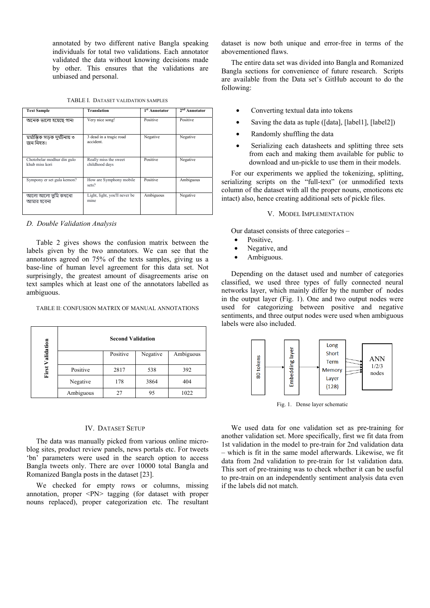annotated by two different native Bangla speaking individuals for total two validations. Each annotator validated the data without knowing decisions made by other. This ensures that the validations are unbiased and personal.

TABLE I. DATASET VALIDATION SAMPLES

| <b>Text Sample</b>                           | <b>Translation</b>                      | 1 <sup>st</sup> Annotator | $2nd$ Annotator |
|----------------------------------------------|-----------------------------------------|---------------------------|-----------------|
| অনেক ভালো হয়েছে গান!                        | Very nice song!                         | Positive                  | Positive        |
| মর্মান্তিক সডক দুর্ঘটনায় ৩<br>জন নিহত।      | 3 dead in a tragic road<br>accident.    | Negative                  | Negative        |
| Chotobelar modhur din gulo<br>khub miss kori | Really miss the sweet<br>childhood days | Positive                  | Negative        |
| Sympony er set gula kemon?                   | How are Symphony mobile<br>sets?        | Positive                  | Ambiguous       |
| আলো আলো তুমি কখনো<br>আমার হবেনা              | Light, light, you'll never be<br>mine   | Ambiguous                 | Negative        |

*D. Double Validation Analysis* 

Table 2 gives shows the confusion matrix between the labels given by the two annotators. We can see that the annotators agreed on 75% of the texts samples, giving us a base-line of human level agreement for this data set. Not surprisingly, the greatest amount of disagreements arise on text samples which at least one of the annotators labelled as ambiguous.

|                         |           | <b>Second Validation</b> |          |           |
|-------------------------|-----------|--------------------------|----------|-----------|
| <b>First Validation</b> |           | Positive                 | Negative | Ambiguous |
|                         | Positive  | 2817                     | 538      | 392       |
|                         | Negative  | 178                      | 3864     | 404       |
|                         | Ambiguous | 27                       | 95       | 1022      |

## IV. DATASET SETUP

The data was manually picked from various online microblog sites, product review panels, news portals etc. For tweets 'bn' parameters were used in the search option to access Bangla tweets only. There are over 10000 total Bangla and Romanized Bangla posts in the dataset [23].

We checked for empty rows or columns, missing annotation, proper <PN> tagging (for dataset with proper nouns replaced), proper categorization etc. The resultant

dataset is now both unique and error-free in terms of the abovementioned flaws.

The entire data set was divided into Bangla and Romanized Bangla sections for convenience of future research. Scripts are available from the Data set's GitHub account to do the following:

- Converting textual data into tokens
- Saving the data as tuple ([data], [label1], [label2])
- Randomly shuffling the data
- Serializing each datasheets and splitting three sets from each and making them available for public to download and un-pickle to use them in their models.

For our experiments we applied the tokenizing, splitting, serializing scripts on the "full-text" (or unmodified texts column of the dataset with all the proper nouns, emoticons etc intact) also, hence creating additional sets of pickle files.

### V. MODEL IMPLEMENTATION

Our dataset consists of three categories –

- Positive.
- Negative, and
- Ambiguous.

Depending on the dataset used and number of categories classified, we used three types of fully connected neural networks layer, which mainly differ by the number of nodes in the output layer (Fig. 1). One and two output nodes were used for categorizing between positive and negative sentiments, and three output nodes were used when ambiguous labels were also included.



Fig. 1. Dense layer schematic

We used data for one validation set as pre-training for another validation set. More specifically, first we fit data from 1st validation in the model to pre-train for 2nd validation data – which is fit in the same model afterwards. Likewise, we fit data from 2nd validation to pre-train for 1st validation data. This sort of pre-training was to check whether it can be useful to pre-train on an independently sentiment analysis data even if the labels did not match.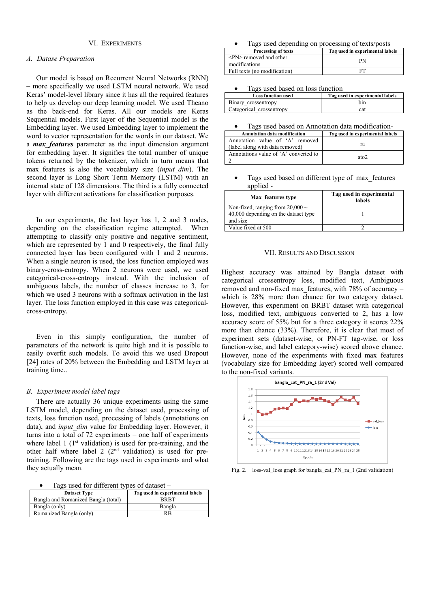## VI. EXPERIMENTS

## *A. Datase Preparation*

Our model is based on Recurrent Neural Networks (RNN) – more specifically we used LSTM neural network. We used Keras' model-level library since it has all the required features to help us develop our deep learning model. We used Theano as the back-end for Keras. All our models are Keras Sequential models. First layer of the Sequential model is the Embedding layer. We used Embedding layer to implement the word to vector representation for the words in our dataset. We a *max\_features* parameter as the input dimension argument for embedding layer. It signifies the total number of unique tokens returned by the tokenizer, which in turn means that max\_features is also the vocabulary size (*input\_dim*). The second layer is Long Short Term Memory (LSTM) with an internal state of 128 dimensions. The third is a fully connected layer with different activations for classification purposes.

In our experiments, the last layer has 1, 2 and 3 nodes, depending on the classification regime attempted. When attempting to classify only positive and negative sentiment, which are represented by 1 and 0 respectively, the final fully connected layer has been configured with 1 and 2 neurons. When a single neuron is used, the loss function employed was binary-cross-entropy. When 2 neurons were used, we used categorical-cross-entropy instead. With the inclusion of ambiguous labels, the number of classes increase to 3, for which we used 3 neurons with a softmax activation in the last layer. The loss function employed in this case was categoricalcross-entropy.

Even in this simply configuration, the number of parameters of the network is quite high and it is possible to easily overfit such models. To avoid this we used Dropout [24] rates of 20% between the Embedding and LSTM layer at training time..

#### *B. Experiment model label tags*

There are actually 36 unique experiments using the same LSTM model, depending on the dataset used, processing of texts, loss function used, processing of labels (annotations on data), and *input dim* value for Embedding layer. However, it turns into a total of 72 experiments – one half of experiments where label  $1$  ( $1<sup>st</sup>$  validation) is used for pre-training, and the other half where label 2  $(2<sup>nd</sup>$  validation) is used for pretraining. Following are the tags used in experiments and what they actually mean.

• Tags used for different types of dataset –

| <b>Dataset Type</b>                 | Tag used in experimental labels |
|-------------------------------------|---------------------------------|
| Bangla and Romanized Bangla (total) | <b>BR RT</b>                    |
| Bangla (only)                       | Bangla                          |
| Romanized Bangla (only)             | RB                              |

• Tags used depending on processing of texts/posts –

| <b>Processing of texts</b>                               | Tag used in experimental labels |
|----------------------------------------------------------|---------------------------------|
| $\langle P N \rangle$ removed and other<br>modifications | PN                              |
| Full texts (no modification)                             |                                 |

• Tags used based on loss function –

| <b>Loss function used</b> | Tag used in experimental labels |
|---------------------------|---------------------------------|
| Binary crossentropy       | hın                             |
| Categorical crossentropy  | cat                             |

Tags used based on Annotation data modification-

| <b>Annotation data modification</b>                                | Tag used in experimental labels |
|--------------------------------------------------------------------|---------------------------------|
| Annotation value of 'A' removed<br>(label along with data removed) | ra                              |
| Annotations value of 'A' converted to                              | ato <sub>2</sub>                |

Tags used based on different type of max\_features applied -

| Max features type                                                                         | Tag used in experimental<br>labels |
|-------------------------------------------------------------------------------------------|------------------------------------|
| Non-fixed, ranging from $20,000 \sim$<br>40,000 depending on the dataset type<br>and size |                                    |
| Value fixed at 500                                                                        |                                    |

#### VII. RESULTS AND DISCUSSION

Highest accuracy was attained by Bangla dataset with categorical crossentropy loss, modified text, Ambiguous removed and non-fixed max\_features, with 78% of accuracy – which is 28% more than chance for two category dataset. However, this experiment on BRBT dataset with categorical loss, modified text, ambiguous converted to 2, has a low accuracy score of 55% but for a three category it scores 22% more than chance (33%). Therefore, it is clear that most of experiment sets (dataset-wise, or PN-FT tag-wise, or loss function-wise, and label category-wise) scored above chance. However, none of the experiments with fixed max\_features (vocabulary size for Embedding layer) scored well compared to the non-fixed variants.



Fig. 2. loss-val\_loss graph for bangla\_cat\_PN\_ra\_1 (2nd validation)